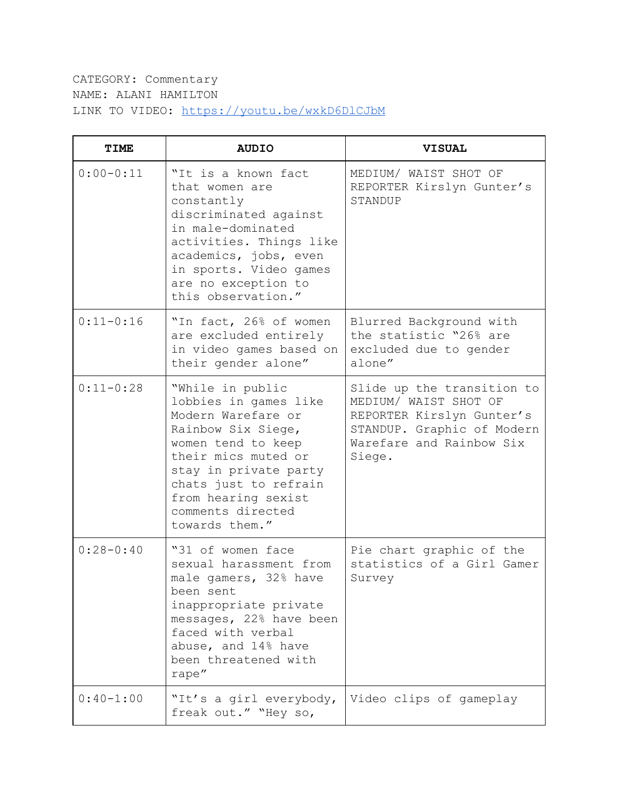CATEGORY: Commentary NAME: ALANI HAMILTON LINK TO VIDEO: <https://youtu.be/wxkD6DlCJbM>

| <b>TIME</b>   | <b>AUDIO</b>                                                                                                                                                                                                                                       | <b>VISUAL</b>                                                                                                                                        |
|---------------|----------------------------------------------------------------------------------------------------------------------------------------------------------------------------------------------------------------------------------------------------|------------------------------------------------------------------------------------------------------------------------------------------------------|
| $0:00-0:11$   | "It is a known fact<br>that women are<br>constantly<br>discriminated against<br>in male-dominated<br>activities. Things like<br>academics, jobs, even<br>in sports. Video games<br>are no exception to<br>this observation."                       | MEDIUM/ WAIST SHOT OF<br>REPORTER Kirslyn Gunter's<br>STANDUP                                                                                        |
| $0:11 - 0:16$ | "In fact, 26% of women<br>are excluded entirely<br>in video games based on<br>their gender alone"                                                                                                                                                  | Blurred Background with<br>the statistic "26% are<br>excluded due to gender<br>alone"                                                                |
| $0:11-0:28$   | "While in public<br>lobbies in games like<br>Modern Warefare or<br>Rainbow Six Siege,<br>women tend to keep<br>their mics muted or<br>stay in private party<br>chats just to refrain<br>from hearing sexist<br>comments directed<br>towards them." | Slide up the transition to<br>MEDIUM/ WAIST SHOT OF<br>REPORTER Kirslyn Gunter's<br>STANDUP. Graphic of Modern<br>Warefare and Rainbow Six<br>Siege. |
| $0:28 - 0:40$ | "31 of women face<br>sexual harassment from<br>male gamers, 32% have<br>been sent<br>inappropriate private<br>messages, 22% have been<br>faced with verbal<br>abuse, and 14% have<br>been threatened with<br>rape"                                 | Pie chart graphic of the<br>statistics of a Girl Gamer<br>Survey                                                                                     |
| $0:40-1:00$   | "It's a girl everybody,<br>freak out." "Hey so,                                                                                                                                                                                                    | Video clips of gameplay                                                                                                                              |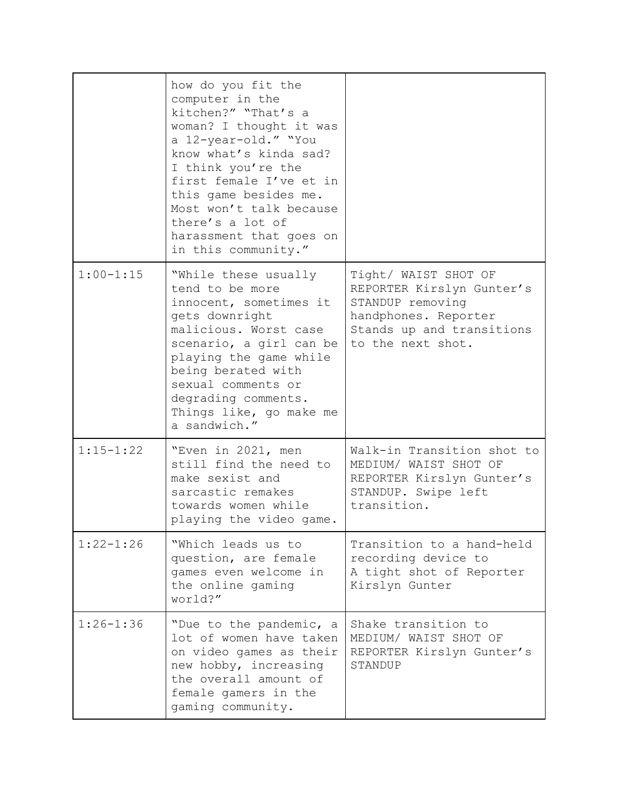|               | how do you fit the<br>computer in the<br>kitchen?" "That's a<br>woman? I thought it was<br>a 12-year-old." "You<br>know what's kinda sad?<br>I think you're the<br>first female I've et in<br>this game besides me.<br>Most won't talk because<br>there's a lot of<br>harassment that goes on<br>in this community." |                                                                                                                                                 |
|---------------|----------------------------------------------------------------------------------------------------------------------------------------------------------------------------------------------------------------------------------------------------------------------------------------------------------------------|-------------------------------------------------------------------------------------------------------------------------------------------------|
| $1:00 - 1:15$ | "While these usually<br>tend to be more<br>innocent, sometimes it<br>gets downright<br>malicious. Worst case<br>scenario, a girl can be<br>playing the game while<br>being berated with<br>sexual comments or<br>degrading comments.<br>Things like, go make me<br>a sandwich."                                      | Tight/ WAIST SHOT OF<br>REPORTER Kirslyn Gunter's<br>STANDUP removing<br>handphones. Reporter<br>Stands up and transitions<br>to the next shot. |
| $1:15 - 1:22$ | "Even in 2021, men<br>still find the need to<br>make sexist and<br>sarcastic remakes<br>towards women while<br>playing the video game.                                                                                                                                                                               | Walk-in Transition shot to<br>MEDIUM/ WAIST SHOT OF<br>REPORTER Kirslyn Gunter's<br>STANDUP. Swipe left<br>transition.                          |
| $1:22 - 1:26$ | "Which leads us to<br>question, are female<br>games even welcome in<br>the online gaming<br>world?"                                                                                                                                                                                                                  | Transition to a hand-held<br>recording device to<br>A tight shot of Reporter<br>Kirslyn Gunter                                                  |
| $1:26 - 1:36$ | "Due to the pandemic, a<br>lot of women have taken<br>on video games as their<br>new hobby, increasing<br>the overall amount of<br>female gamers in the<br>gaming community.                                                                                                                                         | Shake transition to<br>MEDIUM/ WAIST SHOT OF<br>REPORTER Kirslyn Gunter's<br>STANDUP                                                            |